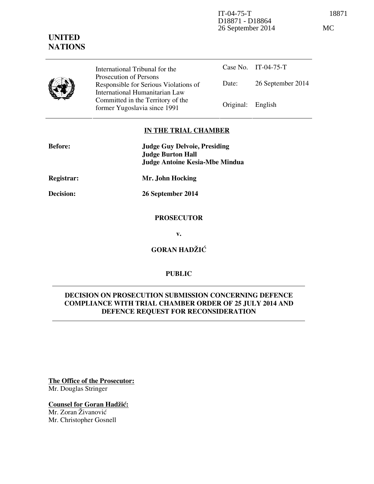IT-04-75-T 18871 D18871 - D18864 26 September 2014 MC



International Tribunal for the Prosecution of Persons Responsible for Serious Violations of International Humanitarian Law Committed in the Territory of the Former Yugoslavia since 1991 Original: English

Case No. IT-04-75-T Date: 26 September 2014

## **IN THE TRIAL CHAMBER**

| <b>Before:</b> | <b>Judge Guy Delvoie, Presiding</b><br><b>Judge Burton Hall</b><br><b>Judge Antoine Kesia-Mbe Mindua</b> |
|----------------|----------------------------------------------------------------------------------------------------------|
| Registrar:     | Mr. John Hocking                                                                                         |
| Decision:      | 26 September 2014                                                                                        |

## **PROSECUTOR**

**v.** 

**GORAN HADŽIĆ** 

# **PUBLIC**

# **DECISION ON PROSECUTION SUBMISSION CONCERNING DEFENCE COMPLIANCE WITH TRIAL CHAMBER ORDER OF 25 JULY 2014 AND DEFENCE REQUEST FOR RECONSIDERATION**

**The Office of the Prosecutor:** Mr. Douglas Stringer

**Counsel for Goran Hadžić:** Mr. Zoran Živanović Mr. Christopher Gosnell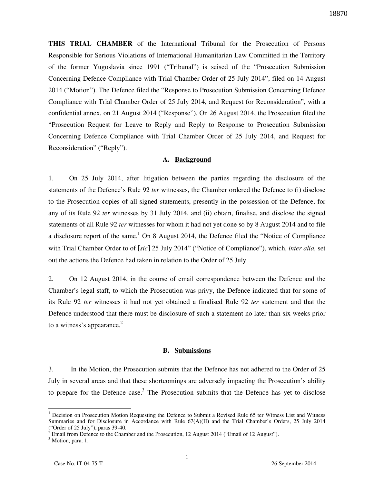**THIS TRIAL CHAMBER** of the International Tribunal for the Prosecution of Persons Responsible for Serious Violations of International Humanitarian Law Committed in the Territory of the former Yugoslavia since 1991 ("Tribunal") is seised of the "Prosecution Submission Concerning Defence Compliance with Trial Chamber Order of 25 July 2014", filed on 14 August 2014 ("Motion"). The Defence filed the "Response to Prosecution Submission Concerning Defence Compliance with Trial Chamber Order of 25 July 2014, and Request for Reconsideration", with a confidential annex, on 21 August 2014 ("Response"). On 26 August 2014, the Prosecution filed the "Prosecution Request for Leave to Reply and Reply to Response to Prosecution Submission Concerning Defence Compliance with Trial Chamber Order of 25 July 2014, and Request for Reconsideration" ("Reply").

### **A. Background**

1. On 25 July 2014, after litigation between the parties regarding the disclosure of the statements of the Defence's Rule 92 *ter* witnesses, the Chamber ordered the Defence to (i) disclose to the Prosecution copies of all signed statements, presently in the possession of the Defence, for any of its Rule 92 *ter* witnesses by 31 July 2014, and (ii) obtain, finalise, and disclose the signed statements of all Rule 92 *ter* witnesses for whom it had not yet done so by 8 August 2014 and to file a disclosure report of the same.<sup>1</sup> On 8 August 2014, the Defence filed the "Notice of Compliance" with Trial Chamber Order to of [*sic*] 25 July 2014" ("Notice of Compliance"), which, *inter alia,* set out the actions the Defence had taken in relation to the Order of 25 July.

2. On 12 August 2014, in the course of email correspondence between the Defence and the Chamber's legal staff, to which the Prosecution was privy, the Defence indicated that for some of its Rule 92 *ter* witnesses it had not yet obtained a finalised Rule 92 *ter* statement and that the Defence understood that there must be disclosure of such a statement no later than six weeks prior to a witness's appearance. $2$ 

#### **B. Submissions**

3. In the Motion, the Prosecution submits that the Defence has not adhered to the Order of 25 July in several areas and that these shortcomings are adversely impacting the Prosecution's ability to prepare for the Defence case.<sup>3</sup> The Prosecution submits that the Defence has yet to disclose

<sup>&</sup>lt;sup>1</sup> Decision on Prosecution Motion Requesting the Defence to Submit a Revised Rule 65 ter Witness List and Witness Summaries and for Disclosure in Accordance with Rule 67(A)(II) and the Trial Chamber's Orders, 25 July 2014 ("Order of 25 July"), paras 39-40.<br><sup>2</sup> Email from Defence to the Chamber and the Prosecution, 12 August 2014 ("Email of 12 August").

<sup>&</sup>lt;sup>3</sup> Motion, para. 1.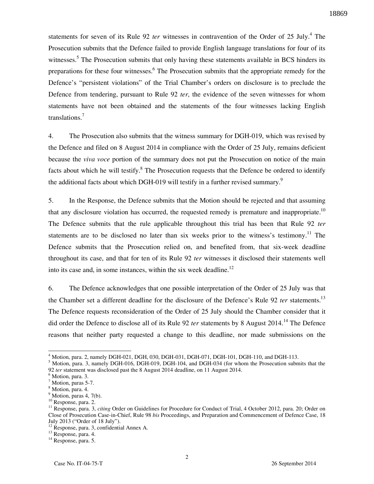statements for seven of its Rule 92 *ter* witnesses in contravention of the Order of 25 July.<sup>4</sup> The Prosecution submits that the Defence failed to provide English language translations for four of its witnesses.<sup>5</sup> The Prosecution submits that only having these statements available in BCS hinders its preparations for these four witnesses.<sup>6</sup> The Prosecution submits that the appropriate remedy for the Defence's "persistent violations" of the Trial Chamber's orders on disclosure is to preclude the Defence from tendering, pursuant to Rule 92 *ter*, the evidence of the seven witnesses for whom statements have not been obtained and the statements of the four witnesses lacking English translations.<sup>7</sup>

4. The Prosecution also submits that the witness summary for DGH-019, which was revised by the Defence and filed on 8 August 2014 in compliance with the Order of 25 July, remains deficient because the *viva voce* portion of the summary does not put the Prosecution on notice of the main facts about which he will testify.<sup>8</sup> The Prosecution requests that the Defence be ordered to identify the additional facts about which DGH-019 will testify in a further revised summary.<sup>9</sup>

5. In the Response, the Defence submits that the Motion should be rejected and that assuming that any disclosure violation has occurred, the requested remedy is premature and inappropriate.<sup>10</sup> The Defence submits that the rule applicable throughout this trial has been that Rule 92 *ter*  statements are to be disclosed no later than six weeks prior to the witness's testimony.<sup>11</sup> The Defence submits that the Prosecution relied on, and benefited from, that six-week deadline throughout its case, and that for ten of its Rule 92 *ter* witnesses it disclosed their statements well into its case and, in some instances, within the six week deadline.<sup>12</sup>

6. The Defence acknowledges that one possible interpretation of the Order of 25 July was that the Chamber set a different deadline for the disclosure of the Defence's Rule 92 *ter* statements.<sup>13</sup> The Defence requests reconsideration of the Order of 25 July should the Chamber consider that it did order the Defence to disclose all of its Rule 92 *ter* statements by 8 August 2014.<sup>14</sup> The Defence reasons that neither party requested a change to this deadline, nor made submissions on the

<sup>4</sup> Motion, para. 2, namely DGH-021, DGH, 030, DGH-031, DGH-071, DGH-101, DGH-110, and DGH-113.

<sup>&</sup>lt;sup>5</sup> Motion, para. 3, namely DGH-016, DGH-019, DGH-104, and DGH-034 (for whom the Prosecution submits that the 92 *ter* statement was disclosed past the 8 August 2014 deadline, on 11 August 2014.

<sup>&</sup>lt;sup>6</sup> Motion, para. 3.

<sup>7</sup> Motion, paras 5-7.

<sup>8</sup> Motion, para. 4.

 $<sup>9</sup>$  Motion, paras 4, 7(b).</sup>

<sup>&</sup>lt;sup>10</sup> Response, para. 2.

<sup>&</sup>lt;sup>11</sup> Response, para. 3, *citing* Order on Guidelines for Procedure for Conduct of Trial, 4 October 2012, para. 20; Order on Close of Prosecution Case-in-Chief, Rule 98 *bis* Proceedings, and Preparation and Commencement of Defence Case, 18 July 2013 ("Order of 18 July").

<sup>12</sup> Response, para. 3, confidential Annex A.

<sup>13</sup> Response, para. 4.

<sup>&</sup>lt;sup>14</sup> Response, para. 5.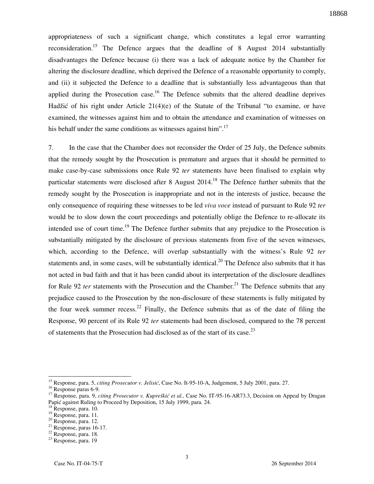appropriateness of such a significant change, which constitutes a legal error warranting reconsideration.<sup>15</sup> The Defence argues that the deadline of 8 August 2014 substantially disadvantages the Defence because (i) there was a lack of adequate notice by the Chamber for altering the disclosure deadline, which deprived the Defence of a reasonable opportunity to comply, and (ii) it subjected the Defence to a deadline that is substantially less advantageous than that applied during the Prosecution case.<sup>16</sup> The Defence submits that the altered deadline deprives Hadžić of his right under Article  $21(4)(e)$  of the Statute of the Tribunal "to examine, or have examined, the witnesses against him and to obtain the attendance and examination of witnesses on his behalf under the same conditions as witnesses against him".<sup>17</sup>

7. In the case that the Chamber does not reconsider the Order of 25 July, the Defence submits that the remedy sought by the Prosecution is premature and argues that it should be permitted to make case-by-case submissions once Rule 92 *ter* statements have been finalised to explain why particular statements were disclosed after 8 August 2014.<sup>18</sup> The Defence further submits that the remedy sought by the Prosecution is inappropriate and not in the interests of justice, because the only consequence of requiring these witnesses to be led *viva voce* instead of pursuant to Rule 92 *ter*  would be to slow down the court proceedings and potentially oblige the Defence to re-allocate its intended use of court time.<sup>19</sup> The Defence further submits that any prejudice to the Prosecution is substantially mitigated by the disclosure of previous statements from five of the seven witnesses, which, according to the Defence, will overlap substantially with the witness's Rule 92 *ter*  statements and, in some cases, will be substantially identical.<sup>20</sup> The Defence also submits that it has not acted in bad faith and that it has been candid about its interpretation of the disclosure deadlines for Rule 92 *ter* statements with the Prosecution and the Chamber.<sup>21</sup> The Defence submits that any prejudice caused to the Prosecution by the non-disclosure of these statements is fully mitigated by the four week summer recess.<sup>22</sup> Finally, the Defence submits that as of the date of filing the Response, 90 percent of its Rule 92 *ter* statements had been disclosed, compared to the 78 percent of statements that the Prosecution had disclosed as of the start of its case.<sup>23</sup>

<sup>15</sup> Response, para. 5, *citing Prosecutor v. Jelisić*, Case No. It-95-10-A, Judgement, 5 July 2001, para. 27.

<sup>16</sup> Response paras 6-9.

<sup>17</sup> Response, para. 9, *citing Prosecutor v. Kupreškić et al.,* Case No. IT-95-16-AR73.3, Decision on Appeal by Dragan Papić against Ruling to Proceed by Deposition, 15 July 1999, para. 24.

<sup>&</sup>lt;sup>18</sup> Response, para. 10.

 $19$  Response, para. 11.

<sup>20</sup> Response, para. 12.

 $21$  Response, paras 16-17.

<sup>22</sup> Response, para. 18.

<sup>&</sup>lt;sup>23</sup> Response, para. 19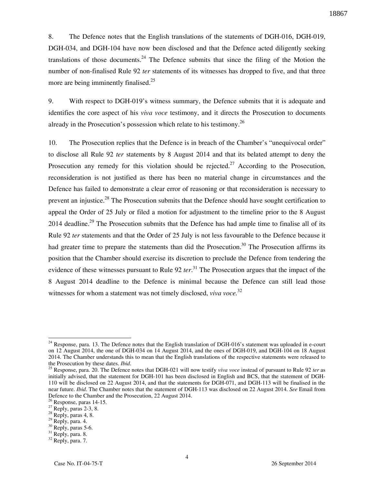8. The Defence notes that the English translations of the statements of DGH-016, DGH-019, DGH-034, and DGH-104 have now been disclosed and that the Defence acted diligently seeking translations of those documents.<sup>24</sup> The Defence submits that since the filing of the Motion the number of non-finalised Rule 92 *ter* statements of its witnesses has dropped to five, and that three more are being imminently finalised. $25$ 

9. With respect to DGH-019's witness summary, the Defence submits that it is adequate and identifies the core aspect of his *viva voce* testimony, and it directs the Prosecution to documents already in the Prosecution's possession which relate to his testimony.<sup>26</sup>

10. The Prosecution replies that the Defence is in breach of the Chamber's "unequivocal order" to disclose all Rule 92 *ter* statements by 8 August 2014 and that its belated attempt to deny the Prosecution any remedy for this violation should be rejected.<sup>27</sup> According to the Prosecution, reconsideration is not justified as there has been no material change in circumstances and the Defence has failed to demonstrate a clear error of reasoning or that reconsideration is necessary to prevent an injustice.<sup>28</sup> The Prosecution submits that the Defence should have sought certification to appeal the Order of 25 July or filed a motion for adjustment to the timeline prior to the 8 August 2014 deadline.<sup>29</sup> The Prosecution submits that the Defence has had ample time to finalise all of its Rule 92 *ter* statements and that the Order of 25 July is not less favourable to the Defence because it had greater time to prepare the statements than did the Prosecution.<sup>30</sup> The Prosecution affirms its position that the Chamber should exercise its discretion to preclude the Defence from tendering the evidence of these witnesses pursuant to Rule 92 *ter*. <sup>31</sup> The Prosecution argues that the impact of the 8 August 2014 deadline to the Defence is minimal because the Defence can still lead those witnesses for whom a statement was not timely disclosed, *viva voce*.<sup>32</sup>

 $^{24}$  Response, para. 13. The Defence notes that the English translation of DGH-016's statement was uploaded in e-court on 12 August 2014, the one of DGH-034 on 14 August 2014, and the ones of DGH-019, and DGH-104 on 18 August 2014. The Chamber understands this to mean that the English translations of the respective statements were released to the Prosecution by these dates. *Ibid*.

<sup>25</sup> Response, para. 20. The Defence notes that DGH-021 will now testify *viva voce* instead of pursuant to Rule 92 *ter* as initially advised, that the statement for DGH-101 has been disclosed in English and BCS, that the statement of DGH-110 will be disclosed on 22 August 2014, and that the statements for DGH-071, and DGH-113 will be finalised in the near future. *Ibid*. The Chamber notes that the statement of DGH-113 was disclosed on 22 August 2014. *See* Email from Defence to the Chamber and the Prosecution, 22 August 2014.

 $26$  Response, paras 14-15.

 $^{27}$  Reply, paras 2-3, 8.

<sup>&</sup>lt;sup>28</sup> Reply, paras 4, 8.

 $^{29}$  Reply, para. 4.

 $30$  Reply, paras 5-6.

 $31$  Reply, para. 8.

<sup>32</sup> Reply, para. 7.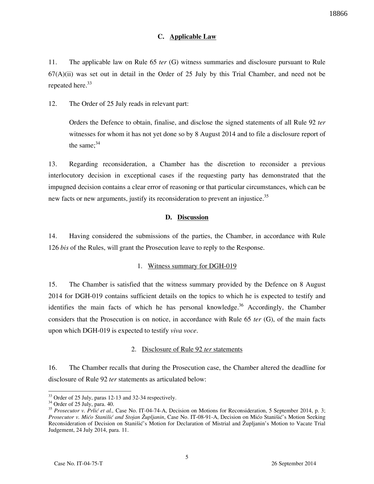## **C. Applicable Law**

11. The applicable law on Rule 65 *ter* (G) witness summaries and disclosure pursuant to Rule  $67(A)(ii)$  was set out in detail in the Order of 25 July by this Trial Chamber, and need not be repeated here.<sup>33</sup>

12. The Order of 25 July reads in relevant part:

Orders the Defence to obtain, finalise, and disclose the signed statements of all Rule 92 *ter*  witnesses for whom it has not yet done so by 8 August 2014 and to file a disclosure report of the same: $34$ 

13. Regarding reconsideration, a Chamber has the discretion to reconsider a previous interlocutory decision in exceptional cases if the requesting party has demonstrated that the impugned decision contains a clear error of reasoning or that particular circumstances, which can be new facts or new arguments, justify its reconsideration to prevent an injustice.<sup>35</sup>

### **D. Discussion**

14. Having considered the submissions of the parties, the Chamber, in accordance with Rule 126 *bis* of the Rules, will grant the Prosecution leave to reply to the Response.

### 1. Witness summary for DGH-019

15. The Chamber is satisfied that the witness summary provided by the Defence on 8 August 2014 for DGH-019 contains sufficient details on the topics to which he is expected to testify and identifies the main facts of which he has personal knowledge.<sup>36</sup> Accordingly, the Chamber considers that the Prosecution is on notice, in accordance with Rule 65 *ter* (G), of the main facts upon which DGH-019 is expected to testify *viva voce*.

# 2. Disclosure of Rule 92 *ter* statements

16. The Chamber recalls that during the Prosecution case, the Chamber altered the deadline for disclosure of Rule 92 *ter* statements as articulated below:

<sup>&</sup>lt;sup>33</sup> Order of 25 July, paras 12-13 and 32-34 respectively.

 $34$  Order of 25 July, para. 40.

<sup>&</sup>lt;sup>35</sup> Prosecutor v. Prlić et al., Case No. IT-04-74-A, Decision on Motions for Reconsideration, 5 September 2014, p. 3; *Prosecutor v. Mićo Stanišić and Stojan Župljanin*, Case No. IT-08-91-A, Decision on Mićo Stanišić's Motion Seeking Reconsideration of Decision on Stanišić's Motion for Declaration of Mistrial and Župljanin's Motion to Vacate Trial Judgement, 24 July 2014, para. 11.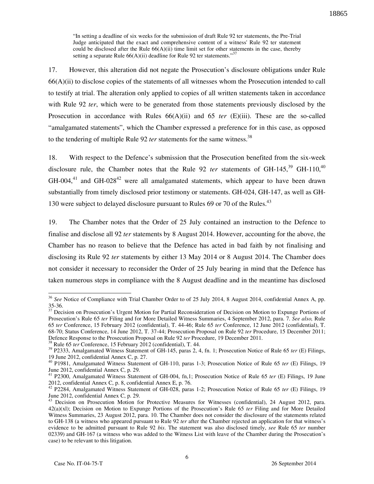"In setting a deadline of six weeks for the submission of draft Rule 92 ter statements, the Pre-Trial Judge anticipated that the exact and comprehensive content of a witness' Rule 92 ter statement could be disclosed after the Rule  $66(A)(ii)$  time limit set for other statements in the case, thereby setting a separate Rule  $66(A)(ii)$  deadline for Rule 92 ter statements."<sup>37</sup>

17. However, this alteration did not negate the Prosecution's disclosure obligations under Rule 66(A)(ii) to disclose copies of the statements of all witnesses whom the Prosecution intended to call to testify at trial. The alteration only applied to copies of all written statements taken in accordance with Rule 92 *ter*, which were to be generated from those statements previously disclosed by the Prosecution in accordance with Rules  $66(A)(ii)$  and  $65$  *ter*  $(E)(iii)$ . These are the so-called "amalgamated statements", which the Chamber expressed a preference for in this case, as opposed to the tendering of multiple Rule 92 *ter* statements for the same witness.<sup>38</sup>

18. With respect to the Defence's submission that the Prosecution benefited from the six-week disclosure rule, the Chamber notes that the Rule 92 *ter* statements of GH-145,<sup>39</sup> GH-110,<sup>40</sup>  $GH-004$ ,<sup>41</sup> and  $GH-028$ <sup>42</sup> were all amalgamated statements, which appear to have been drawn substantially from timely disclosed prior testimony or statements. GH-024, GH-147, as well as GH-130 were subject to delayed disclosure pursuant to Rules 69 or 70 of the Rules.<sup>43</sup>

19. The Chamber notes that the Order of 25 July contained an instruction to the Defence to finalise and disclose all 92 *ter* statements by 8 August 2014. However, accounting for the above, the Chamber has no reason to believe that the Defence has acted in bad faith by not finalising and disclosing its Rule 92 *ter* statements by either 13 May 2014 or 8 August 2014. The Chamber does not consider it necessary to reconsider the Order of 25 July bearing in mind that the Defence has taken numerous steps in compliance with the 8 August deadline and in the meantime has disclosed

<sup>38</sup> Rule 65 *ter* Conference, 15 February 2012 (confidential), T. 44.

<sup>&</sup>lt;sup>36</sup> See Notice of Compliance with Trial Chamber Order to of 25 July 2014, 8 August 2014, confidential Annex A, pp. 35-36.

<sup>&</sup>lt;sup>37</sup> Decision on Prosecution's Urgent Motion for Partial Reconsideration of Decision on Motion to Expunge Portions of Prosecution's Rule 65 *ter* Filing and for More Detailed Witness Summaries, 4 September 2012, para. 7. *See also,* Rule 65 *ter* Conference, 15 February 2012 (confidential), T. 44-46; Rule 65 *ter* Conference, 12 June 2012 (confidential), T. 68-70; Status Conference, 14 June 2012, T. 37-44; Prosecution Proposal on Rule 92 *ter* Procedure, 15 December 2011; Defence Response to the Prosecution Proposal on Rule 92 *ter* Procedure, 19 December 2011.

<sup>39</sup> P2333, Amalgamated Witness Statement of GH-145, paras 2, 4, fn. 1; Prosecution Notice of Rule 65 *ter* (E) Filings, 19 June 2012, confidential Annex C, p. 27.

<sup>40</sup> P1981, Amalgamated Witness Statement of GH-110, paras 1-3; Prosecution Notice of Rule 65 *ter* (E) Filings, 19 June 2012, confidential Annex C, p. 29.

<sup>41</sup> P2300, Amalgamated Witness Statement of GH-004, fn,1; Prosecution Notice of Rule 65 *ter* (E) Filings, 19 June 2012, confidential Annex C, p. 8, confidential Annex E, p. 76.

<sup>42</sup> P2284, Amalgamated Witness Statement of GH-028, paras 1-2; Prosecution Notice of Rule 65 *ter* (E) Filings, 19 June 2012, confidential Annex C, p. 29.

<sup>&</sup>lt;sup>43</sup> Decision on Prosecution Motion for Protective Measures for Witnesses (confidential), 24 August 2012, para. 42(a)(xl); Decision on Motion to Expunge Portions of the Prosecution's Rule 65 *ter* Filing and for More Detailed Witness Summaries, 23 August 2012, para. 10. The Chamber does not consider the disclosure of the statements related to GH-138 (a witness who appeared pursuant to Rule 92 *ter* after the Chamber rejected an application for that witness's evidence to be admitted pursuant to Rule 92 *bis*. The statement was also disclosed timely, *see* Rule 65 *ter* number 02339) and GH-167 (a witness who was added to the Witness List with leave of the Chamber during the Prosecution's case) to be relevant to this litigation.